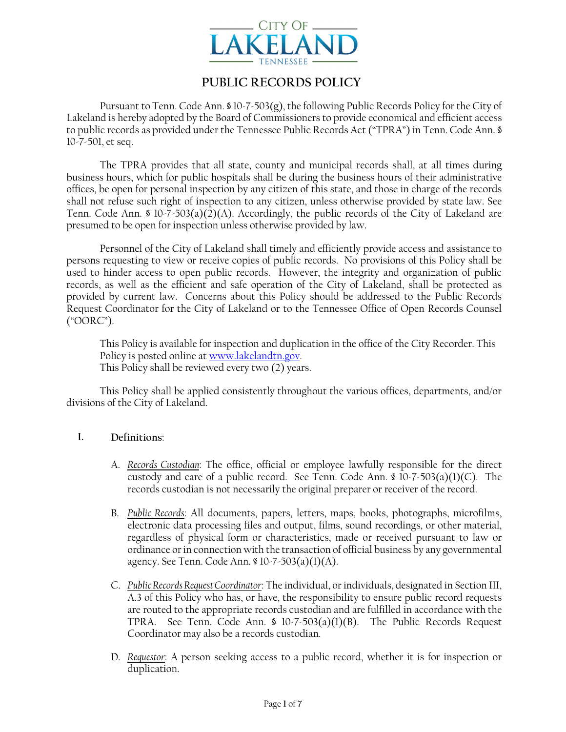

[Type here ] [Type here ] [Type here ]

# **PUBLIC RECORDS POLICY**

Pursuant to Tenn. Code Ann. § 10-7-503(g), the following Public Records Policy for the City of Lakeland is hereby adopted by the Board of Commissioners to provide economical and efficient access to public records as provided under the Tennessee Public Records Act ("TPRA") in Tenn. Code Ann. § 10-7-501, et seq.

The TPRA provides that all state, county and municipal records shall, at all times during business hours, which for public hospitals shall be during the business hours of their administrative offices, be open for personal inspection by any citizen of this state, and those in charge of the records shall not refuse such right of inspection to any citizen, unless otherwise provided by state law. See Tenn. Code Ann. § 10-7-503(a)(2)(A). Accordingly, the public records of the City of Lakeland are presumed to be open for inspection unless otherwise provided by law.

Personnel of the City of Lakeland shall timely and efficiently provide access and assistance to persons requesting to view or receive copies of public records. No provisions of this Policy shall be used to hinder access to open public records. However, the integrity and organization of public records, as well as the efficient and safe operation of the City of Lakeland, shall be protected as provided by current law. Concerns about this Policy should be addressed to the Public Records Request Coordinator for the City of Lakeland or to the Tennessee Office of Open Records Counsel ("OORC").

This Policy is available for inspection and duplication in the office of the City Recorder. This Policy is posted online at www.lakelandtn.gov. This Policy shall be reviewed every two (2) years.

This Policy shall be applied consistently throughout the various offices, departments, and/or divisions of the City of Lakeland.

## **I. Definitions**:

- A. *Records Custodian*: The office, official or employee lawfully responsible for the direct custody and care of a public record. See Tenn. Code Ann.  $\delta$  10-7-503(a)(1)(C). The records custodian is not necessarily the original preparer or receiver of the record.
- B. *Public Records*: All documents, papers, letters, maps, books, photographs, microfilms, electronic data processing files and output, films, sound recordings, or other material, regardless of physical form or characteristics, made or received pursuant to law or ordinance or in connection with the transaction of official business by any governmental agency. See Tenn. Code Ann. § 10-7-503(a)(1)(A).
- C. *Public Records Request Coordinator*: The individual, or individuals, designated in Section III, A.3 of this Policy who has, or have, the responsibility to ensure public record requests are routed to the appropriate records custodian and are fulfilled in accordance with the TPRA. See Tenn. Code Ann. § 10-7-503(a)(1)(B). The Public Records Request Coordinator may also be a records custodian.
- D. *Requestor*: A person seeking access to a public record, whether it is for inspection or duplication.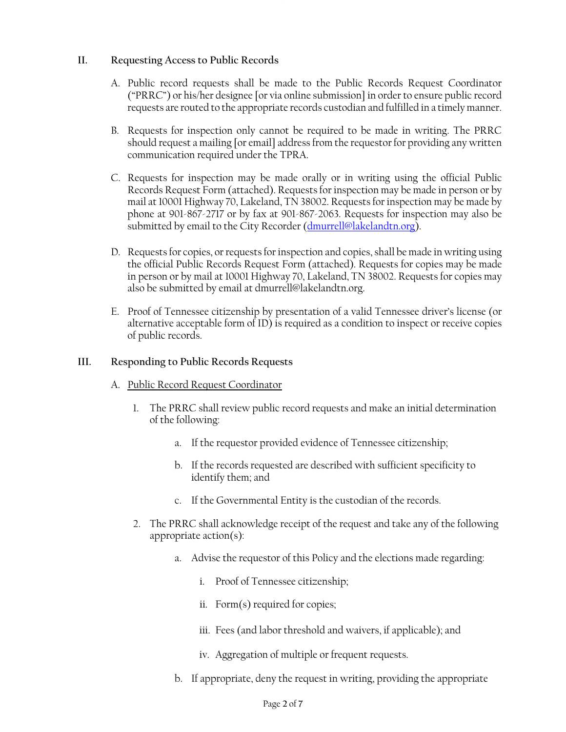### **II. Requesting Access to Public Records**

A. Public record requests shall be made to the Public Records Request Coordinator ("PRRC") or his/her designee [or via online submission] in order to ensure public record requests are routed to the appropriate records custodian and fulfilled in a timely manner.

[Type here ] [Type here ] [Type here ]

- B. Requests for inspection only cannot be required to be made in writing. The PRRC should request a mailing [or email] address from the requestor for providing any written communication required under the TPRA.
- C. Requests for inspection may be made orally or in writing using the official Public Records Request Form (attached). Requests for inspection may be made in person or by mail at 10001 Highway 70, Lakeland, TN 38002. Requests for inspection may be made by phone at 901-867-2717 or by fax at 901-867-2063. Requests for inspection may also be submitted by email to the City Recorder (dmurrell@lakelandtn.org).
- D. Requests for copies, or requests for inspection and copies, shall be made in writing using the official Public Records Request Form (attached). Requests for copies may be made in person or by mail at 10001 Highway 70, Lakeland, TN 38002. Requests for copies may also be submitted by email at dmurrell@lakelandtn.org.
- E. Proof of Tennessee citizenship by presentation of a valid Tennessee driver's license (or alternative acceptable form of ID) is required as a condition to inspect or receive copies of public records.

#### **III. Responding to Public Records Requests**

- A. Public Record Request Coordinator
	- 1. The PRRC shall review public record requests and make an initial determination of the following:
		- a. If the requestor provided evidence of Tennessee citizenship;
		- b. If the records requested are described with sufficient specificity to identify them; and
		- c. If the Governmental Entity is the custodian of the records.
	- 2. The PRRC shall acknowledge receipt of the request and take any of the following appropriate action(s):
		- a. Advise the requestor of this Policy and the elections made regarding:
			- i. Proof of Tennessee citizenship;
			- ii. Form(s) required for copies;
			- iii. Fees (and labor threshold and waivers, if applicable); and
			- iv. Aggregation of multiple or frequent requests.
		- b. If appropriate, deny the request in writing, providing the appropriate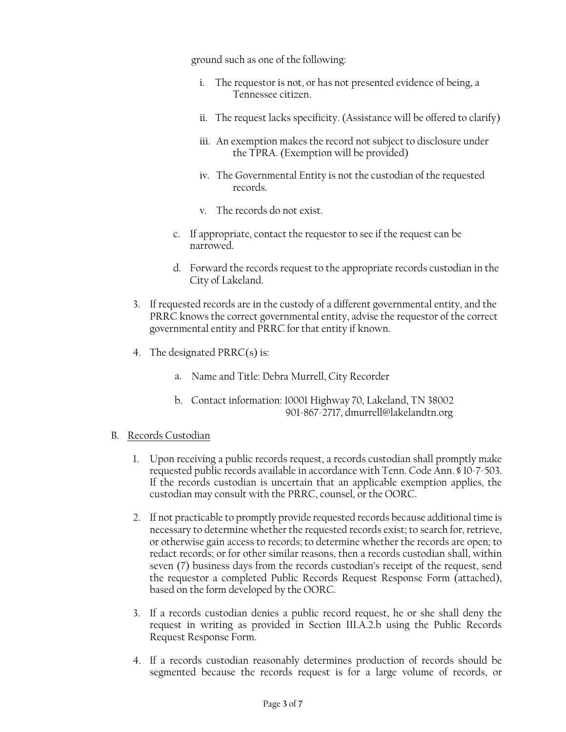ground such as one of the following:

[Type here ] [Type here ] [Type here ]

- i. The requestor is not, or has not presented evidence of being, a Tennessee citizen.
- ii. The request lacks specificity. (Assistance will be offered to clarify)
- iii. An exemption makes the record not subject to disclosure under the TPRA. (Exemption will be provided)
- iv. The Governmental Entity is not the custodian of the requested records.
- v. The records do not exist.
- c. If appropriate, contact the requestor to see if the request can be narrowed.
- d. Forward the records request to the appropriate records custodian in the City of Lakeland.
- 3. If requested records are in the custody of a different governmental entity, and the PRRC knows the correct governmental entity, advise the requestor of the correct governmental entity and PRRC for that entity if known.
- 4. The designated PRRC(s) is:
	- a. Name and Title: Debra Murrell, City Recorder
	- b. Contact information: 10001 Highway 70, Lakeland, TN 38002 901-867-2717, dmurrell@lakelandtn.org

#### B. Records Custodian

- 1. Upon receiving a public records request, a records custodian shall promptly make requested public records available in accordance with Tenn. Code Ann. § 10-7-503. If the records custodian is uncertain that an applicable exemption applies, the custodian may consult with the PRRC, counsel, or the OORC.
- 2. If not practicable to promptly provide requested records because additional time is necessary to determine whether the requested records exist; to search for, retrieve, or otherwise gain access to records; to determine whether the records are open; to redact records; or for other similar reasons, then a records custodian shall, within seven (7) business days from the records custodian's receipt of the request, send the requestor a completed Public Records Request Response Form (attached), based on the form developed by the OORC.
- 3. If a records custodian denies a public record request, he or she shall deny the request in writing as provided in Section III.A.2.b using the Public Records Request Response Form.
- 4. If a records custodian reasonably determines production of records should be segmented because the records request is for a large volume of records, or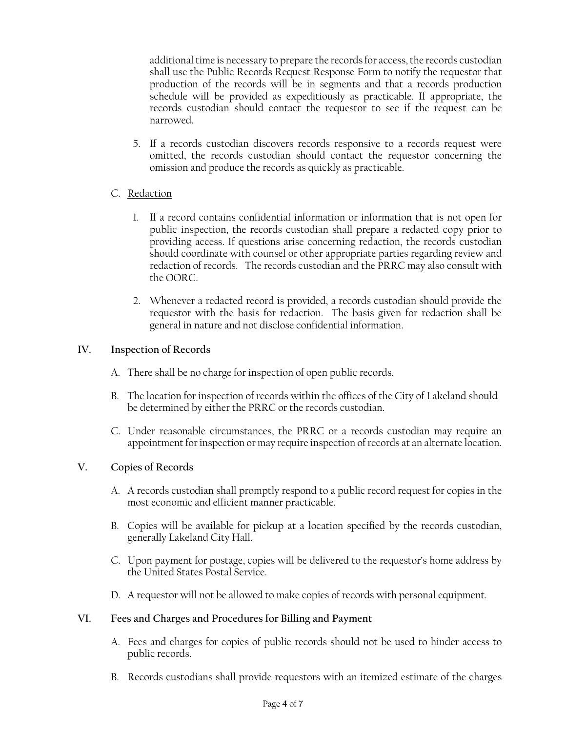additional time is necessary to prepare the records for access, the records custodian shall use the Public Records Request Response Form to notify the requestor that production of the records will be in segments and that a records production schedule will be provided as expeditiously as practicable. If appropriate, the records custodian should contact the requestor to see if the request can be narrowed.

[Type here ] [Type here ] [Type here ]

5. If a records custodian discovers records responsive to a records request were omitted, the records custodian should contact the requestor concerning the omission and produce the records as quickly as practicable.

## C. Redaction

- 1. If a record contains confidential information or information that is not open for public inspection, the records custodian shall prepare a redacted copy prior to providing access. If questions arise concerning redaction, the records custodian should coordinate with counsel or other appropriate parties regarding review and redaction of records. The records custodian and the PRRC may also consult with the OORC.
- 2. Whenever a redacted record is provided, a records custodian should provide the requestor with the basis for redaction. The basis given for redaction shall be general in nature and not disclose confidential information.

## **IV. Inspection of Records**

- A. There shall be no charge for inspection of open public records.
- B. The location for inspection of records within the offices of the City of Lakeland should be determined by either the PRRC or the records custodian.
- C. Under reasonable circumstances, the PRRC or a records custodian may require an appointment for inspection or may require inspection of records at an alternate location.

# **V. Copies of Records**

- A. A records custodian shall promptly respond to a public record request for copies in the most economic and efficient manner practicable.
- B. Copies will be available for pickup at a location specified by the records custodian, generally Lakeland City Hall.
- C. Upon payment for postage, copies will be delivered to the requestor's home address by the United States Postal Service.
- D. A requestor will not be allowed to make copies of records with personal equipment.

## **VI. Fees and Charges and Procedures for Billing and Payment**

- A. Fees and charges for copies of public records should not be used to hinder access to public records.
- B. Records custodians shall provide requestors with an itemized estimate of the charges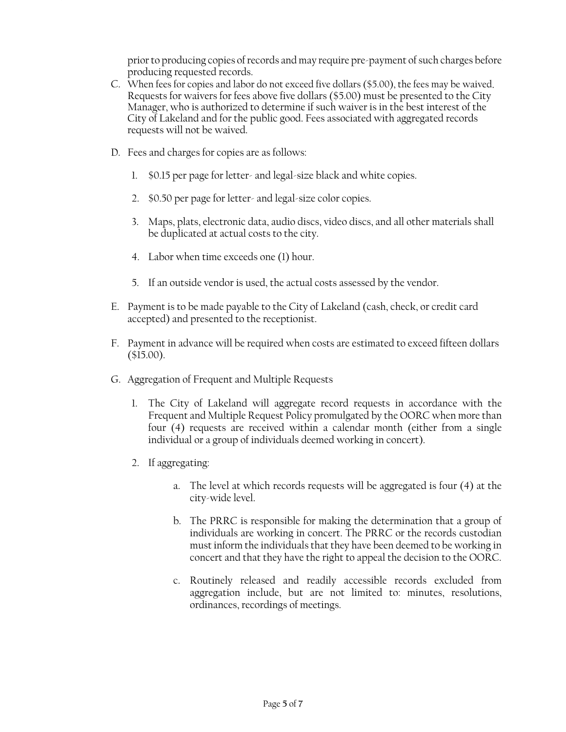prior to producing copies of records and may require pre-payment of such charges before producing requested records.

C. When fees for copies and labor do not exceed five dollars (\$5.00), the fees may be waived. Requests for waivers for fees above five dollars (\$5.00) must be presented to the City Manager, who is authorized to determine if such waiver is in the best interest of the City of Lakeland and for the public good. Fees associated with aggregated records requests will not be waived.

[Type here ] [Type here ] [Type here ]

- D. Fees and charges for copies are as follows:
	- 1. \$0.15 per page for letter- and legal-size black and white copies.
	- 2. \$0.50 per page for letter- and legal-size color copies.
	- 3. Maps, plats, electronic data, audio discs, video discs, and all other materials shall be duplicated at actual costs to the city.
	- 4. Labor when time exceeds one (1) hour.
	- 5. If an outside vendor is used, the actual costs assessed by the vendor.
- E. Payment is to be made payable to the City of Lakeland (cash, check, or credit card accepted) and presented to the receptionist.
- F. Payment in advance will be required when costs are estimated to exceed fifteen dollars (\$15.00).
- G. Aggregation of Frequent and Multiple Requests
	- 1. The City of Lakeland will aggregate record requests in accordance with the Frequent and Multiple Request Policy promulgated by the OORC when more than four (4) requests are received within a calendar month (either from a single individual or a group of individuals deemed working in concert).
	- 2. If aggregating:
		- a. The level at which records requests will be aggregated is four (4) at the city-wide level.
		- b. The PRRC is responsible for making the determination that a group of individuals are working in concert. The PRRC or the records custodian must inform the individuals that they have been deemed to be working in concert and that they have the right to appeal the decision to the OORC.
		- c. Routinely released and readily accessible records excluded from aggregation include, but are not limited to: minutes, resolutions, ordinances, recordings of meetings.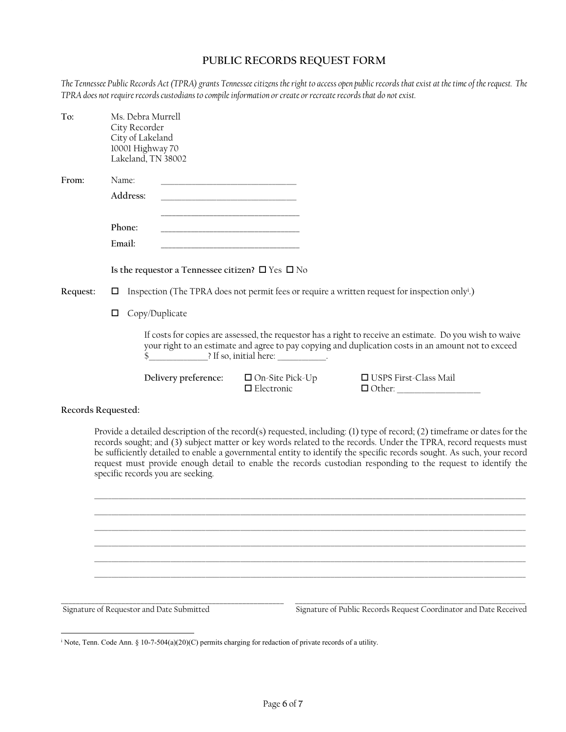# **PUBLIC RECORDS REQUEST FORM**

[Type here ] [Type here ] [Type here ]

*The Tennessee Public Records Act (TPRA) grants Tennessee citizens the right to access open public records that exist at the time of the request. The TPRA does not require records custodians to compile information or create or recreate records that do not exist.*

| To:      | City Recorder<br>City of Lakeland                                                                               | Ms. Debra Murrell<br>10001 Highway 70<br>Lakeland, TN 38002                                                                                                                                                     |                                                                  |                                          |  |  |
|----------|-----------------------------------------------------------------------------------------------------------------|-----------------------------------------------------------------------------------------------------------------------------------------------------------------------------------------------------------------|------------------------------------------------------------------|------------------------------------------|--|--|
| From:    | Name:                                                                                                           |                                                                                                                                                                                                                 |                                                                  |                                          |  |  |
|          | Address:                                                                                                        | the control of the control of the control of the control of the control of                                                                                                                                      |                                                                  |                                          |  |  |
|          | Phone:<br>Email:                                                                                                |                                                                                                                                                                                                                 |                                                                  |                                          |  |  |
|          |                                                                                                                 | Is the requestor a Tennessee citizen? $\square$ Yes $\square$ No                                                                                                                                                |                                                                  |                                          |  |  |
| Request: | Inspection (The TPRA does not permit fees or require a written request for inspection only <sup>i</sup> .)<br>□ |                                                                                                                                                                                                                 |                                                                  |                                          |  |  |
|          | Copy/Duplicate<br>□                                                                                             |                                                                                                                                                                                                                 |                                                                  |                                          |  |  |
|          |                                                                                                                 | If costs for copies are assessed, the requestor has a right to receive an estimate. Do you wish to waive<br>your right to an estimate and agree to pay copying and duplication costs in an amount not to exceed |                                                                  |                                          |  |  |
|          |                                                                                                                 |                                                                                                                                                                                                                 | Delivery preference: $\Box$ On-Site Pick-Up<br>$\Box$ Electronic | □ USPS First-Class Mail<br>$\Box$ Other: |  |  |
|          |                                                                                                                 |                                                                                                                                                                                                                 |                                                                  |                                          |  |  |

#### **Records Requested:**

Provide a detailed description of the record(s) requested, including: (1) type of record; (2) timeframe or dates for the records sought; and (3) subject matter or key words related to the records. Under the TPRA, record requests must be sufficiently detailed to enable a governmental entity to identify the specific records sought. As such, your record request must provide enough detail to enable the records custodian responding to the request to identify the specific records you are seeking.

\_\_\_\_\_\_\_\_\_\_\_\_\_\_\_\_\_\_\_\_\_\_\_\_\_\_\_\_\_\_\_\_\_\_\_\_\_\_\_\_\_\_\_\_\_\_\_\_\_\_\_\_\_\_\_\_\_\_\_\_\_\_\_\_\_\_\_\_\_\_\_\_\_\_\_\_\_\_\_\_\_\_\_\_\_\_\_\_\_\_\_\_\_\_\_\_\_\_\_\_\_\_\_\_\_\_\_\_\_\_\_\_\_\_\_\_\_\_\_\_\_\_\_\_ \_\_\_\_\_\_\_\_\_\_\_\_\_\_\_\_\_\_\_\_\_\_\_\_\_\_\_\_\_\_\_\_\_\_\_\_\_\_\_\_\_\_\_\_\_\_\_\_\_\_\_\_\_\_\_\_\_\_\_\_\_\_\_\_\_\_\_\_\_\_\_\_\_\_\_\_\_\_\_\_\_\_\_\_\_\_\_\_\_\_\_\_\_\_\_\_\_\_\_\_\_\_\_\_\_\_\_\_\_\_\_\_\_\_\_\_\_\_\_\_\_\_\_\_ \_\_\_\_\_\_\_\_\_\_\_\_\_\_\_\_\_\_\_\_\_\_\_\_\_\_\_\_\_\_\_\_\_\_\_\_\_\_\_\_\_\_\_\_\_\_\_\_\_\_\_\_\_\_\_\_\_\_\_\_\_\_\_\_\_\_\_\_\_\_\_\_\_\_\_\_\_\_\_\_\_\_\_\_\_\_\_\_\_\_\_\_\_\_\_\_\_\_\_\_\_\_\_\_\_\_\_\_\_\_\_\_\_\_\_\_\_\_\_\_\_\_\_\_ \_\_\_\_\_\_\_\_\_\_\_\_\_\_\_\_\_\_\_\_\_\_\_\_\_\_\_\_\_\_\_\_\_\_\_\_\_\_\_\_\_\_\_\_\_\_\_\_\_\_\_\_\_\_\_\_\_\_\_\_\_\_\_\_\_\_\_\_\_\_\_\_\_\_\_\_\_\_\_\_\_\_\_\_\_\_\_\_\_\_\_\_\_\_\_\_\_\_\_\_\_\_\_\_\_\_\_\_\_\_\_\_\_\_\_\_\_\_\_\_\_\_\_\_ \_\_\_\_\_\_\_\_\_\_\_\_\_\_\_\_\_\_\_\_\_\_\_\_\_\_\_\_\_\_\_\_\_\_\_\_\_\_\_\_\_\_\_\_\_\_\_\_\_\_\_\_\_\_\_\_\_\_\_\_\_\_\_\_\_\_\_\_\_\_\_\_\_\_\_\_\_\_\_\_\_\_\_\_\_\_\_\_\_\_\_\_\_\_\_\_\_\_\_\_\_\_\_\_\_\_\_\_\_\_\_\_\_\_\_\_\_\_\_\_\_\_\_\_ \_\_\_\_\_\_\_\_\_\_\_\_\_\_\_\_\_\_\_\_\_\_\_\_\_\_\_\_\_\_\_\_\_\_\_\_\_\_\_\_\_\_\_\_\_\_\_\_\_\_\_\_\_\_\_\_\_\_\_\_\_\_\_\_\_\_\_\_\_\_\_\_\_\_\_\_\_\_\_\_\_\_\_\_\_\_\_\_\_\_\_\_\_\_\_\_\_\_\_\_\_\_\_\_\_\_\_\_\_\_\_\_\_\_\_\_\_\_\_\_\_\_\_\_

**\_\_\_\_\_\_\_\_\_\_\_\_\_\_\_\_\_\_\_\_\_\_\_\_\_\_\_\_\_\_\_\_\_\_\_\_\_\_\_\_\_\_\_\_\_\_\_\_\_\_\_\_\_\_\_\_\_\_\_ \_\_\_\_\_\_\_\_\_\_\_\_\_\_\_\_\_\_\_\_\_\_\_\_\_\_\_\_\_\_\_\_\_\_\_\_\_\_\_\_\_\_\_\_\_\_\_\_\_\_\_\_\_\_\_\_\_\_\_\_\_** 

 $\overline{\phantom{a}}$ 

Signature of Requestor and Date Submitted Signature of Public Records Request Coordinator and Date Received

<sup>&</sup>lt;sup>i</sup> Note, Tenn. Code Ann. § 10-7-504(a)(20)(C) permits charging for redaction of private records of a utility.